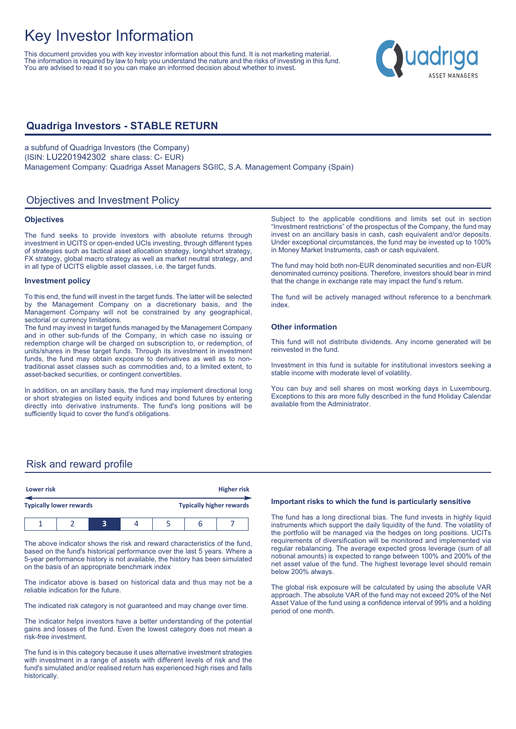# Key Investor Information

This document provides you with key investor information about this fund. It is not marketing material. The information is required by law to help you understand the nature and the risks of investing in this fund. You are advised to read it so you can make an informed decision about whether to invest.

# uadriga

## **Quadriga Investors - STABLE RETURN**

a subfund of Quadriga Investors (the Company) (ISIN: LU2201942302 share class: C- EUR) Management Company: Quadriga Asset Managers SGIIC, S.A. Management Company (Spain)

## Objectives and Investment Policy

#### **Objectives**

The fund seeks to provide investors with absolute returns through investment in UCITS or open-ended UCIs investing, through different types of strategies such as tactical asset allocation strategy, long/short strategy, FX strategy, global macro strategy as well as market neutral strategy, and in all type of UCITS eligible asset classes, i.e. the target funds.

#### **Investment policy**

To this end, the fund will invest in the target funds. The latter will be selected by the Management Company on a discretionary basis, and the Management Company will not be constrained by any geographical, sectorial or currency limitations.

The fund may invest in target funds managed by the Management Company and in other sub-funds of the Company, in which case no issuing or redemption charge will be charged on subscription to, or redemption, of units/shares in these target funds. Through its investment in investment funds, the fund may obtain exposure to derivatives as well as to nontraditional asset classes such as commodities and, to a limited extent, to asset-backed securities, or contingent convertibles.

In addition, on an ancillary basis, the fund may implement directional long or short strategies on listed equity indices and bond futures by entering directly into derivative instruments. The fund's long positions will be sufficiently liquid to cover the fund's obligations.

Subject to the applicable conditions and limits set out in section "Investment restrictions" of the prospectus of the Company, the fund may invest on an ancillary basis in cash, cash equivalent and/or deposits. Under exceptional circumstances, the fund may be invested up to 100% in Money Market Instruments, cash or cash equivalent.

The fund may hold both non-EUR denominated securities and non-EUR denominated currency positions. Therefore, investors should bear in mind that the change in exchange rate may impact the fund's return.

The fund will be actively managed without reference to a benchmark index.

#### **Other information**

This fund will not distribute dividends. Any income generated will be reinvested in the fund.

Investment in this fund is suitable for institutional investors seeking a stable income with moderate level of volatility.

You can buy and sell shares on most working days in Luxembourg. Exceptions to this are more fully described in the fund Holiday Calendar available from the Administrator.

### Risk and reward profile

|                                | Lower risk |  |  | <b>Higher risk</b>              |  |  |  |
|--------------------------------|------------|--|--|---------------------------------|--|--|--|
| <b>Typically lower rewards</b> |            |  |  | <b>Typically higher rewards</b> |  |  |  |
|                                |            |  |  |                                 |  |  |  |

The above indicator shows the risk and reward characteristics of the fund, based on the fund's historical performance over the last 5 years. Where a 5-year performance history is not available, the history has been simulated on the basis of an appropriate benchmark index

The indicator above is based on historical data and thus may not be a reliable indication for the future.

The indicated risk category is not guaranteed and may change over time.

The indicator helps investors have a better understanding of the potential gains and losses of the fund. Even the lowest category does not mean a risk-free investment.

The fund is in this category because it uses alternative investment strategies with investment in a range of assets with different levels of risk and the fund's simulated and/or realised return has experienced high rises and falls historically.

#### **Important risks to which the fund is particularly sensitive**

The fund has a long directional bias. The fund invests in highly liquid instruments which support the daily liquidity of the fund. The volatility of the portfolio will be managed via the hedges on long positions. UCITs requirements of diversification will be monitored and implemented via regular rebalancing. The average expected gross leverage (sum of all notional amounts) is expected to range between 100% and 200% of the net asset value of the fund. The highest leverage level should remain below 200% always.

The global risk exposure will be calculated by using the absolute VAR approach. The absolute VAR of the fund may not exceed 20% of the Net Asset Value of the fund using a confidence interval of 99% and a holding period of one month.